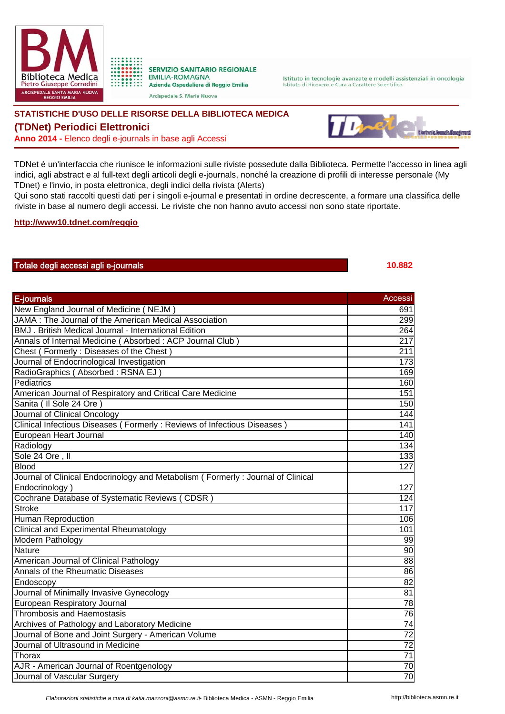



Arcispedale S. Maria Nuova

Istituto in tecnologie avanzate e modelli assistenziali in oncologia Istituto di Ricovero e Cura a Carattere Scientifico

## **STATISTICHE D'USO DELLE RISORSE DELLA BIBLIOTECA MEDICA**

## **(TDNet) Periodici Elettronici**

**Anno 2014 -** Elenco degli e-journals in base agli Accessi



TDNet è un'interfaccia che riunisce le informazioni sulle riviste possedute dalla Biblioteca. Permette l'accesso in linea agli indici, agli abstract e al full-text degli articoli degli e-journals, nonché la creazione di profili di interesse personale (My TDnet) e l'invio, in posta elettronica, degli indici della rivista (Alerts)

Qui sono stati raccolti questi dati per i singoli e-journal e presentati in ordine decrescente, a formare una classifica delle riviste in base al numero degli accessi. Le riviste che non hanno avuto accessi non sono state riportate.

**http://www10.tdnet.com/reggio**

## Totale degli accessi agli e-journals **10.882**

## E-journals Accessive Contract of the Contract of the Contract of the Contract of the Contract of the Accessive New England Journal of Medicine ( NEJM ) 691 JAMA : The Journal of the American Medical Association 299 BMJ . British Medical Journal - International Edition 264 Annals of Internal Medicine ( Absorbed : ACP Journal Club ) 217 Chest ( Formerly : Diseases of the Chest ) 211 Journal of Endocrinological Investigation 173 RadioGraphics ( Absorbed : RSNA EJ ) 169 (1999) 169 (1999) 169 (1999) 169 (1999) 169 (1999) 169 (1999) 169 (19 Pediatrics 160 American Journal of Respiratory and Critical Care Medicine 151 Sanita ( Il Sole 24 Ore ) 150 Journal of Clinical Oncology 144 Clinical Infectious Diseases ( Formerly : Reviews of Infectious Diseases ) 141 European Heart Journal 140 Radiology 134 Sole 24 Ore , Il 133 Blood 127 Journal of Clinical Endocrinology and Metabolism ( Formerly : Journal of Clinical Endocrinology ) 127 Cochrane Database of Systematic Reviews (CDSR) 124 Stroke 117 Human Reproduction **106** Clinical and Experimental Rheumatology 101 Modern Pathology 99 Nature 90 American Journal of Clinical Pathology 88 Annals of the Rheumatic Diseases 86 Endoscopy 82 Journal of Minimally Invasive Gynecology 81 European Respiratory Journal 78 Thrombosis and Haemostasis 76 Archives of Pathology and Laboratory Medicine **74** Archives of Pathology and Laboratory Medicine Journal of Bone and Joint Surgery - American Volume 72 Journal of Ultrasound in Medicine 72 Thorax 71 AJR - American Journal of Roentgenology 70 and 70 and 70 and 70 and 70 and 70 and 70 and 70 and 70 and 70 and 70 and 70 and 70 and 70 and 70 and 70 and 70 and 70 and 70 and 70 and 70 and 70 and 70 and 70 and 70 and 70 and Journal of Vascular Surgery 70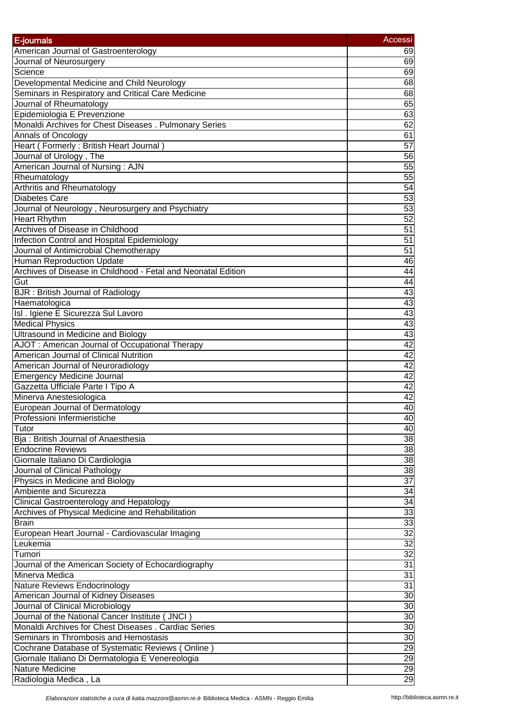| E-journals                                                    | <b>Accessi</b>  |
|---------------------------------------------------------------|-----------------|
| American Journal of Gastroenterology                          | 69              |
| Journal of Neurosurgery                                       | 69              |
| Science                                                       | 69              |
| Developmental Medicine and Child Neurology                    | 68              |
| Seminars in Respiratory and Critical Care Medicine            | 68              |
| Journal of Rheumatology                                       | 65              |
| Epidemiologia E Prevenzione                                   | 63              |
| Monaldi Archives for Chest Diseases . Pulmonary Series        | 62              |
| <b>Annals of Oncology</b>                                     | 61              |
| Heart (Formerly: British Heart Journal)                       | 57              |
| Journal of Urology, The                                       | 56              |
| American Journal of Nursing: AJN                              | 55              |
| Rheumatology                                                  | 55              |
| <b>Arthritis and Rheumatology</b>                             | 54              |
| <b>Diabetes Care</b>                                          | 53              |
|                                                               |                 |
| Journal of Neurology, Neurosurgery and Psychiatry             | 53              |
| <b>Heart Rhythm</b>                                           | 52              |
| Archives of Disease in Childhood                              | 51              |
| Infection Control and Hospital Epidemiology                   | 51              |
| Journal of Antimicrobial Chemotherapy                         | 51              |
| Human Reproduction Update                                     | 46              |
| Archives of Disease in Childhood - Fetal and Neonatal Edition | 44              |
| Gut                                                           | 44              |
| <b>BJR</b> : British Journal of Radiology                     | 43              |
| Haematologica                                                 | 43              |
| Isl . Igiene E Sicurezza Sul Lavoro                           | 43              |
| <b>Medical Physics</b>                                        | 43              |
| <b>Ultrasound in Medicine and Biology</b>                     | 43              |
| AJOT: American Journal of Occupational Therapy                | 42              |
| American Journal of Clinical Nutrition                        | 42              |
| American Journal of Neuroradiology                            | 42              |
| <b>Emergency Medicine Journal</b>                             | 42              |
| Gazzetta Ufficiale Parte I Tipo A                             | 42              |
|                                                               | $\overline{42}$ |
| Minerva Anestesiologica                                       |                 |
| European Journal of Dermatology                               | 40              |
| Professioni Infermieristiche                                  | 40              |
| Tutor                                                         | 40              |
| Bja: British Journal of Anaesthesia                           | 38              |
| <b>Endocrine Reviews</b>                                      | 38              |
| Giornale Italiano Di Cardiologia                              | 38              |
| Journal of Clinical Pathology                                 | 38              |
| Physics in Medicine and Biology                               | $\overline{37}$ |
| Ambiente and Sicurezza                                        | 34              |
| <b>Clinical Gastroenterology and Hepatology</b>               | $\overline{34}$ |
| Archives of Physical Medicine and Rehabilitation              | 33              |
| <b>Brain</b>                                                  | 33              |
| European Heart Journal - Cardiovascular Imaging               | 32              |
| Leukemia                                                      | 32              |
| Tumori                                                        | 32              |
| Journal of the American Society of Echocardiography           | 31              |
| Minerva Medica                                                | 31              |
|                                                               | 31              |
| Nature Reviews Endocrinology                                  | 30              |
| American Journal of Kidney Diseases                           |                 |
| Journal of Clinical Microbiology                              | 30              |
| Journal of the National Cancer Institute ( JNCI )             | 30              |
| Monaldi Archives for Chest Diseases . Cardiac Series          | 30              |
| Seminars in Thrombosis and Hemostasis                         | 30              |
| Cochrane Database of Systematic Reviews (Online)              | $\overline{29}$ |
| Giornale Italiano Di Dermatologia E Venereologia              | $\overline{29}$ |
| <b>Nature Medicine</b>                                        | 29              |
| Radiologia Medica, La                                         | 29              |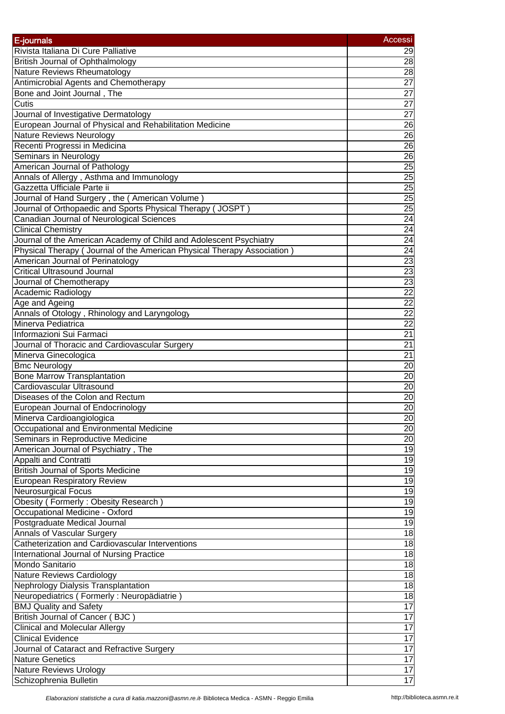| E-journals                                                                | Accessi         |
|---------------------------------------------------------------------------|-----------------|
| Rivista Italiana Di Cure Palliative                                       |                 |
| <b>British Journal of Ophthalmology</b>                                   | 29<br>28        |
| Nature Reviews Rheumatology                                               | 28              |
| Antimicrobial Agents and Chemotherapy                                     | $\overline{27}$ |
| Bone and Joint Journal, The                                               | $\overline{27}$ |
| Cutis                                                                     | $\overline{27}$ |
| Journal of Investigative Dermatology                                      | $\overline{27}$ |
| European Journal of Physical and Rehabilitation Medicine                  | 26              |
| Nature Reviews Neurology                                                  | $\overline{26}$ |
| Recenti Progressi in Medicina                                             | $\overline{26}$ |
| Seminars in Neurology                                                     | 26              |
| American Journal of Pathology                                             | $\overline{25}$ |
| Annals of Allergy, Asthma and Immunology                                  | $\overline{25}$ |
| Gazzetta Ufficiale Parte ii                                               | $\overline{25}$ |
| Journal of Hand Surgery, the (American Volume)                            | 25              |
| Journal of Orthopaedic and Sports Physical Therapy (JOSPT)                | $\overline{25}$ |
| Canadian Journal of Neurological Sciences                                 | 24              |
| <b>Clinical Chemistry</b>                                                 | $\overline{24}$ |
| Journal of the American Academy of Child and Adolescent Psychiatry        | 24              |
| Physical Therapy ( Journal of the American Physical Therapy Association ) | 24              |
| American Journal of Perinatology                                          | 23              |
| <b>Critical Ultrasound Journal</b>                                        | $\overline{23}$ |
| Journal of Chemotherapy                                                   | 23              |
| Academic Radiology                                                        | 22              |
| Age and Ageing                                                            | $\overline{22}$ |
| Annals of Otology, Rhinology and Laryngology                              | $\overline{22}$ |
| Minerva Pediatrica                                                        | $\overline{22}$ |
| Informazioni Sui Farmaci                                                  | $\overline{21}$ |
| Journal of Thoracic and Cardiovascular Surgery                            | $\overline{21}$ |
| Minerva Ginecologica                                                      | 21              |
| <b>Bmc Neurology</b>                                                      | 20              |
| <b>Bone Marrow Transplantation</b>                                        | $\overline{20}$ |
| Cardiovascular Ultrasound                                                 | $\overline{20}$ |
| Diseases of the Colon and Rectum                                          | $\overline{20}$ |
| European Journal of Endocrinology                                         | $\overline{20}$ |
| Minerva Cardioangiologica                                                 | 20              |
| Occupational and Environmental Medicine                                   | 20              |
| Seminars in Reproductive Medicine                                         | 20              |
| American Journal of Psychiatry, The                                       | 19              |
| <b>Appalti and Contratti</b>                                              | $\overline{19}$ |
| <b>British Journal of Sports Medicine</b>                                 | $\overline{19}$ |
| <b>European Respiratory Review</b>                                        | $\overline{19}$ |
| <b>Neurosurgical Focus</b>                                                | $\overline{19}$ |
| Obesity (Formerly: Obesity Research)                                      | $\overline{19}$ |
| Occupational Medicine - Oxford                                            | 19              |
| Postgraduate Medical Journal                                              | $\overline{19}$ |
| <b>Annals of Vascular Surgery</b>                                         | $\frac{1}{8}$   |
| Catheterization and Cardiovascular Interventions                          | 18              |
| <b>International Journal of Nursing Practice</b>                          | $\frac{1}{8}$   |
| Mondo Sanitario                                                           | 18              |
| <b>Nature Reviews Cardiology</b>                                          | $\overline{18}$ |
| Nephrology Dialysis Transplantation                                       | 18              |
| Neuropediatrics (Formerly: Neuropädiatrie)                                | $\frac{1}{8}$   |
| <b>BMJ Quality and Safety</b>                                             | $\overline{17}$ |
| British Journal of Cancer (BJC)                                           | 17              |
| <b>Clinical and Molecular Allergy</b>                                     | 17              |
| <b>Clinical Evidence</b>                                                  | 17              |
| Journal of Cataract and Refractive Surgery                                | 17              |
| <b>Nature Genetics</b>                                                    | $\overline{17}$ |
| <b>Nature Reviews Urology</b>                                             | 17              |
| Schizophrenia Bulletin                                                    | $\overline{17}$ |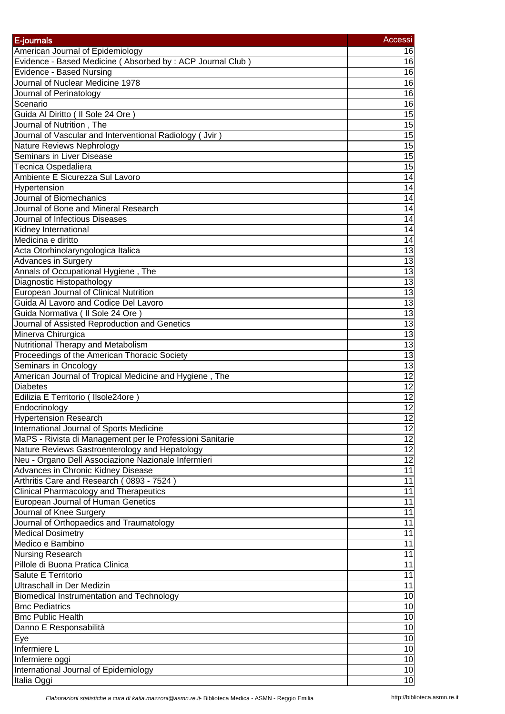| American Journal of Epidemiology<br>16<br>Evidence - Based Medicine (Absorbed by: ACP Journal Club)<br>16<br>Evidence - Based Nursing<br>16<br>Journal of Nuclear Medicine 1978<br>16<br>16<br>Journal of Perinatology<br>16<br>Scenario<br>15<br>Guida Al Diritto ( Il Sole 24 Ore )<br>15<br>Journal of Nutrition, The<br>Journal of Vascular and Interventional Radiology (Jvir)<br>15<br><b>Nature Reviews Nephrology</b><br>$\overline{15}$<br>Seminars in Liver Disease<br>15<br><b>Tecnica Ospedaliera</b><br>$\overline{15}$<br>Ambiente E Sicurezza Sul Lavoro<br>14<br>Hypertension<br>14<br>Journal of Biomechanics<br>14<br>Journal of Bone and Mineral Research<br>$\overline{14}$<br>$\overline{14}$<br>Journal of Infectious Diseases<br>$\overline{14}$<br>Kidney International<br>$\overline{14}$<br>Medicina e diritto<br>$\overline{13}$<br>Acta Otorhinolaryngologica Italica<br>13<br><b>Advances in Surgery</b><br>13<br>Annals of Occupational Hygiene, The<br>13<br>Diagnostic Histopathology<br>13<br><b>European Journal of Clinical Nutrition</b><br>13<br>Guida Al Lavoro and Codice Del Lavoro<br>13<br>Guida Normativa ( Il Sole 24 Ore )<br>13<br>Journal of Assisted Reproduction and Genetics<br>Minerva Chirurgica<br>$\overline{13}$<br>Nutritional Therapy and Metabolism<br>13<br>13<br>Proceedings of the American Thoracic Society<br>13<br>Seminars in Oncology<br>American Journal of Tropical Medicine and Hygiene, The<br>$\overline{12}$<br>$\overline{12}$<br><b>Diabetes</b><br>12<br>Edilizia E Territorio (Ilsole24ore)<br>$\overline{12}$<br>Endocrinology<br><b>Hypertension Research</b><br>12<br>12<br>International Journal of Sports Medicine<br>12<br>MaPS - Rivista di Management per le Professioni Sanitarie<br>12<br>Nature Reviews Gastroenterology and Hepatology<br>12<br>Neu - Organo Dell Associazione Nazionale Infermieri<br>$\overline{11}$<br>Advances in Chronic Kidney Disease<br>11<br>Arthritis Care and Research (0893 - 7524)<br>$\overline{11}$<br><b>Clinical Pharmacology and Therapeutics</b><br>European Journal of Human Genetics<br>11<br>Journal of Knee Surgery<br>11<br>Journal of Orthopaedics and Traumatology<br>$\overline{11}$<br><b>Medical Dosimetry</b><br>11<br>Medico e Bambino<br>11<br><b>Nursing Research</b><br>11<br>Pillole di Buona Pratica Clinica<br>11<br>Salute E Territorio<br>11<br>11<br>Ultraschall in Der Medizin<br>$\overline{10}$<br>Biomedical Instrumentation and Technology<br><b>Bmc Pediatrics</b><br>10<br>$\overline{10}$<br><b>Bmc Public Health</b><br>$\overline{10}$<br>Danno E Responsabilità<br>10<br>Eye<br>Infermiere L<br>10<br>10<br>Infermiere oggi<br>International Journal of Epidemiology<br>10<br>10 | E-journals  | Accessi |
|---------------------------------------------------------------------------------------------------------------------------------------------------------------------------------------------------------------------------------------------------------------------------------------------------------------------------------------------------------------------------------------------------------------------------------------------------------------------------------------------------------------------------------------------------------------------------------------------------------------------------------------------------------------------------------------------------------------------------------------------------------------------------------------------------------------------------------------------------------------------------------------------------------------------------------------------------------------------------------------------------------------------------------------------------------------------------------------------------------------------------------------------------------------------------------------------------------------------------------------------------------------------------------------------------------------------------------------------------------------------------------------------------------------------------------------------------------------------------------------------------------------------------------------------------------------------------------------------------------------------------------------------------------------------------------------------------------------------------------------------------------------------------------------------------------------------------------------------------------------------------------------------------------------------------------------------------------------------------------------------------------------------------------------------------------------------------------------------------------------------------------------------------------------------------------------------------------------------------------------------------------------------------------------------------------------------------------------------------------------------------------------------------------------------------------------------------------------------------------------------------------------------------------------------------------------------------------------------------------------------------------------------------------------------------------------------------------------------------------------------|-------------|---------|
|                                                                                                                                                                                                                                                                                                                                                                                                                                                                                                                                                                                                                                                                                                                                                                                                                                                                                                                                                                                                                                                                                                                                                                                                                                                                                                                                                                                                                                                                                                                                                                                                                                                                                                                                                                                                                                                                                                                                                                                                                                                                                                                                                                                                                                                                                                                                                                                                                                                                                                                                                                                                                                                                                                                                             |             |         |
|                                                                                                                                                                                                                                                                                                                                                                                                                                                                                                                                                                                                                                                                                                                                                                                                                                                                                                                                                                                                                                                                                                                                                                                                                                                                                                                                                                                                                                                                                                                                                                                                                                                                                                                                                                                                                                                                                                                                                                                                                                                                                                                                                                                                                                                                                                                                                                                                                                                                                                                                                                                                                                                                                                                                             |             |         |
|                                                                                                                                                                                                                                                                                                                                                                                                                                                                                                                                                                                                                                                                                                                                                                                                                                                                                                                                                                                                                                                                                                                                                                                                                                                                                                                                                                                                                                                                                                                                                                                                                                                                                                                                                                                                                                                                                                                                                                                                                                                                                                                                                                                                                                                                                                                                                                                                                                                                                                                                                                                                                                                                                                                                             |             |         |
|                                                                                                                                                                                                                                                                                                                                                                                                                                                                                                                                                                                                                                                                                                                                                                                                                                                                                                                                                                                                                                                                                                                                                                                                                                                                                                                                                                                                                                                                                                                                                                                                                                                                                                                                                                                                                                                                                                                                                                                                                                                                                                                                                                                                                                                                                                                                                                                                                                                                                                                                                                                                                                                                                                                                             |             |         |
|                                                                                                                                                                                                                                                                                                                                                                                                                                                                                                                                                                                                                                                                                                                                                                                                                                                                                                                                                                                                                                                                                                                                                                                                                                                                                                                                                                                                                                                                                                                                                                                                                                                                                                                                                                                                                                                                                                                                                                                                                                                                                                                                                                                                                                                                                                                                                                                                                                                                                                                                                                                                                                                                                                                                             |             |         |
|                                                                                                                                                                                                                                                                                                                                                                                                                                                                                                                                                                                                                                                                                                                                                                                                                                                                                                                                                                                                                                                                                                                                                                                                                                                                                                                                                                                                                                                                                                                                                                                                                                                                                                                                                                                                                                                                                                                                                                                                                                                                                                                                                                                                                                                                                                                                                                                                                                                                                                                                                                                                                                                                                                                                             |             |         |
|                                                                                                                                                                                                                                                                                                                                                                                                                                                                                                                                                                                                                                                                                                                                                                                                                                                                                                                                                                                                                                                                                                                                                                                                                                                                                                                                                                                                                                                                                                                                                                                                                                                                                                                                                                                                                                                                                                                                                                                                                                                                                                                                                                                                                                                                                                                                                                                                                                                                                                                                                                                                                                                                                                                                             |             |         |
|                                                                                                                                                                                                                                                                                                                                                                                                                                                                                                                                                                                                                                                                                                                                                                                                                                                                                                                                                                                                                                                                                                                                                                                                                                                                                                                                                                                                                                                                                                                                                                                                                                                                                                                                                                                                                                                                                                                                                                                                                                                                                                                                                                                                                                                                                                                                                                                                                                                                                                                                                                                                                                                                                                                                             |             |         |
|                                                                                                                                                                                                                                                                                                                                                                                                                                                                                                                                                                                                                                                                                                                                                                                                                                                                                                                                                                                                                                                                                                                                                                                                                                                                                                                                                                                                                                                                                                                                                                                                                                                                                                                                                                                                                                                                                                                                                                                                                                                                                                                                                                                                                                                                                                                                                                                                                                                                                                                                                                                                                                                                                                                                             |             |         |
|                                                                                                                                                                                                                                                                                                                                                                                                                                                                                                                                                                                                                                                                                                                                                                                                                                                                                                                                                                                                                                                                                                                                                                                                                                                                                                                                                                                                                                                                                                                                                                                                                                                                                                                                                                                                                                                                                                                                                                                                                                                                                                                                                                                                                                                                                                                                                                                                                                                                                                                                                                                                                                                                                                                                             |             |         |
|                                                                                                                                                                                                                                                                                                                                                                                                                                                                                                                                                                                                                                                                                                                                                                                                                                                                                                                                                                                                                                                                                                                                                                                                                                                                                                                                                                                                                                                                                                                                                                                                                                                                                                                                                                                                                                                                                                                                                                                                                                                                                                                                                                                                                                                                                                                                                                                                                                                                                                                                                                                                                                                                                                                                             |             |         |
|                                                                                                                                                                                                                                                                                                                                                                                                                                                                                                                                                                                                                                                                                                                                                                                                                                                                                                                                                                                                                                                                                                                                                                                                                                                                                                                                                                                                                                                                                                                                                                                                                                                                                                                                                                                                                                                                                                                                                                                                                                                                                                                                                                                                                                                                                                                                                                                                                                                                                                                                                                                                                                                                                                                                             |             |         |
|                                                                                                                                                                                                                                                                                                                                                                                                                                                                                                                                                                                                                                                                                                                                                                                                                                                                                                                                                                                                                                                                                                                                                                                                                                                                                                                                                                                                                                                                                                                                                                                                                                                                                                                                                                                                                                                                                                                                                                                                                                                                                                                                                                                                                                                                                                                                                                                                                                                                                                                                                                                                                                                                                                                                             |             |         |
|                                                                                                                                                                                                                                                                                                                                                                                                                                                                                                                                                                                                                                                                                                                                                                                                                                                                                                                                                                                                                                                                                                                                                                                                                                                                                                                                                                                                                                                                                                                                                                                                                                                                                                                                                                                                                                                                                                                                                                                                                                                                                                                                                                                                                                                                                                                                                                                                                                                                                                                                                                                                                                                                                                                                             |             |         |
|                                                                                                                                                                                                                                                                                                                                                                                                                                                                                                                                                                                                                                                                                                                                                                                                                                                                                                                                                                                                                                                                                                                                                                                                                                                                                                                                                                                                                                                                                                                                                                                                                                                                                                                                                                                                                                                                                                                                                                                                                                                                                                                                                                                                                                                                                                                                                                                                                                                                                                                                                                                                                                                                                                                                             |             |         |
|                                                                                                                                                                                                                                                                                                                                                                                                                                                                                                                                                                                                                                                                                                                                                                                                                                                                                                                                                                                                                                                                                                                                                                                                                                                                                                                                                                                                                                                                                                                                                                                                                                                                                                                                                                                                                                                                                                                                                                                                                                                                                                                                                                                                                                                                                                                                                                                                                                                                                                                                                                                                                                                                                                                                             |             |         |
|                                                                                                                                                                                                                                                                                                                                                                                                                                                                                                                                                                                                                                                                                                                                                                                                                                                                                                                                                                                                                                                                                                                                                                                                                                                                                                                                                                                                                                                                                                                                                                                                                                                                                                                                                                                                                                                                                                                                                                                                                                                                                                                                                                                                                                                                                                                                                                                                                                                                                                                                                                                                                                                                                                                                             |             |         |
|                                                                                                                                                                                                                                                                                                                                                                                                                                                                                                                                                                                                                                                                                                                                                                                                                                                                                                                                                                                                                                                                                                                                                                                                                                                                                                                                                                                                                                                                                                                                                                                                                                                                                                                                                                                                                                                                                                                                                                                                                                                                                                                                                                                                                                                                                                                                                                                                                                                                                                                                                                                                                                                                                                                                             |             |         |
|                                                                                                                                                                                                                                                                                                                                                                                                                                                                                                                                                                                                                                                                                                                                                                                                                                                                                                                                                                                                                                                                                                                                                                                                                                                                                                                                                                                                                                                                                                                                                                                                                                                                                                                                                                                                                                                                                                                                                                                                                                                                                                                                                                                                                                                                                                                                                                                                                                                                                                                                                                                                                                                                                                                                             |             |         |
|                                                                                                                                                                                                                                                                                                                                                                                                                                                                                                                                                                                                                                                                                                                                                                                                                                                                                                                                                                                                                                                                                                                                                                                                                                                                                                                                                                                                                                                                                                                                                                                                                                                                                                                                                                                                                                                                                                                                                                                                                                                                                                                                                                                                                                                                                                                                                                                                                                                                                                                                                                                                                                                                                                                                             |             |         |
|                                                                                                                                                                                                                                                                                                                                                                                                                                                                                                                                                                                                                                                                                                                                                                                                                                                                                                                                                                                                                                                                                                                                                                                                                                                                                                                                                                                                                                                                                                                                                                                                                                                                                                                                                                                                                                                                                                                                                                                                                                                                                                                                                                                                                                                                                                                                                                                                                                                                                                                                                                                                                                                                                                                                             |             |         |
|                                                                                                                                                                                                                                                                                                                                                                                                                                                                                                                                                                                                                                                                                                                                                                                                                                                                                                                                                                                                                                                                                                                                                                                                                                                                                                                                                                                                                                                                                                                                                                                                                                                                                                                                                                                                                                                                                                                                                                                                                                                                                                                                                                                                                                                                                                                                                                                                                                                                                                                                                                                                                                                                                                                                             |             |         |
|                                                                                                                                                                                                                                                                                                                                                                                                                                                                                                                                                                                                                                                                                                                                                                                                                                                                                                                                                                                                                                                                                                                                                                                                                                                                                                                                                                                                                                                                                                                                                                                                                                                                                                                                                                                                                                                                                                                                                                                                                                                                                                                                                                                                                                                                                                                                                                                                                                                                                                                                                                                                                                                                                                                                             |             |         |
|                                                                                                                                                                                                                                                                                                                                                                                                                                                                                                                                                                                                                                                                                                                                                                                                                                                                                                                                                                                                                                                                                                                                                                                                                                                                                                                                                                                                                                                                                                                                                                                                                                                                                                                                                                                                                                                                                                                                                                                                                                                                                                                                                                                                                                                                                                                                                                                                                                                                                                                                                                                                                                                                                                                                             |             |         |
|                                                                                                                                                                                                                                                                                                                                                                                                                                                                                                                                                                                                                                                                                                                                                                                                                                                                                                                                                                                                                                                                                                                                                                                                                                                                                                                                                                                                                                                                                                                                                                                                                                                                                                                                                                                                                                                                                                                                                                                                                                                                                                                                                                                                                                                                                                                                                                                                                                                                                                                                                                                                                                                                                                                                             |             |         |
|                                                                                                                                                                                                                                                                                                                                                                                                                                                                                                                                                                                                                                                                                                                                                                                                                                                                                                                                                                                                                                                                                                                                                                                                                                                                                                                                                                                                                                                                                                                                                                                                                                                                                                                                                                                                                                                                                                                                                                                                                                                                                                                                                                                                                                                                                                                                                                                                                                                                                                                                                                                                                                                                                                                                             |             |         |
|                                                                                                                                                                                                                                                                                                                                                                                                                                                                                                                                                                                                                                                                                                                                                                                                                                                                                                                                                                                                                                                                                                                                                                                                                                                                                                                                                                                                                                                                                                                                                                                                                                                                                                                                                                                                                                                                                                                                                                                                                                                                                                                                                                                                                                                                                                                                                                                                                                                                                                                                                                                                                                                                                                                                             |             |         |
|                                                                                                                                                                                                                                                                                                                                                                                                                                                                                                                                                                                                                                                                                                                                                                                                                                                                                                                                                                                                                                                                                                                                                                                                                                                                                                                                                                                                                                                                                                                                                                                                                                                                                                                                                                                                                                                                                                                                                                                                                                                                                                                                                                                                                                                                                                                                                                                                                                                                                                                                                                                                                                                                                                                                             |             |         |
|                                                                                                                                                                                                                                                                                                                                                                                                                                                                                                                                                                                                                                                                                                                                                                                                                                                                                                                                                                                                                                                                                                                                                                                                                                                                                                                                                                                                                                                                                                                                                                                                                                                                                                                                                                                                                                                                                                                                                                                                                                                                                                                                                                                                                                                                                                                                                                                                                                                                                                                                                                                                                                                                                                                                             |             |         |
|                                                                                                                                                                                                                                                                                                                                                                                                                                                                                                                                                                                                                                                                                                                                                                                                                                                                                                                                                                                                                                                                                                                                                                                                                                                                                                                                                                                                                                                                                                                                                                                                                                                                                                                                                                                                                                                                                                                                                                                                                                                                                                                                                                                                                                                                                                                                                                                                                                                                                                                                                                                                                                                                                                                                             |             |         |
|                                                                                                                                                                                                                                                                                                                                                                                                                                                                                                                                                                                                                                                                                                                                                                                                                                                                                                                                                                                                                                                                                                                                                                                                                                                                                                                                                                                                                                                                                                                                                                                                                                                                                                                                                                                                                                                                                                                                                                                                                                                                                                                                                                                                                                                                                                                                                                                                                                                                                                                                                                                                                                                                                                                                             |             |         |
|                                                                                                                                                                                                                                                                                                                                                                                                                                                                                                                                                                                                                                                                                                                                                                                                                                                                                                                                                                                                                                                                                                                                                                                                                                                                                                                                                                                                                                                                                                                                                                                                                                                                                                                                                                                                                                                                                                                                                                                                                                                                                                                                                                                                                                                                                                                                                                                                                                                                                                                                                                                                                                                                                                                                             |             |         |
|                                                                                                                                                                                                                                                                                                                                                                                                                                                                                                                                                                                                                                                                                                                                                                                                                                                                                                                                                                                                                                                                                                                                                                                                                                                                                                                                                                                                                                                                                                                                                                                                                                                                                                                                                                                                                                                                                                                                                                                                                                                                                                                                                                                                                                                                                                                                                                                                                                                                                                                                                                                                                                                                                                                                             |             |         |
|                                                                                                                                                                                                                                                                                                                                                                                                                                                                                                                                                                                                                                                                                                                                                                                                                                                                                                                                                                                                                                                                                                                                                                                                                                                                                                                                                                                                                                                                                                                                                                                                                                                                                                                                                                                                                                                                                                                                                                                                                                                                                                                                                                                                                                                                                                                                                                                                                                                                                                                                                                                                                                                                                                                                             |             |         |
|                                                                                                                                                                                                                                                                                                                                                                                                                                                                                                                                                                                                                                                                                                                                                                                                                                                                                                                                                                                                                                                                                                                                                                                                                                                                                                                                                                                                                                                                                                                                                                                                                                                                                                                                                                                                                                                                                                                                                                                                                                                                                                                                                                                                                                                                                                                                                                                                                                                                                                                                                                                                                                                                                                                                             |             |         |
|                                                                                                                                                                                                                                                                                                                                                                                                                                                                                                                                                                                                                                                                                                                                                                                                                                                                                                                                                                                                                                                                                                                                                                                                                                                                                                                                                                                                                                                                                                                                                                                                                                                                                                                                                                                                                                                                                                                                                                                                                                                                                                                                                                                                                                                                                                                                                                                                                                                                                                                                                                                                                                                                                                                                             |             |         |
|                                                                                                                                                                                                                                                                                                                                                                                                                                                                                                                                                                                                                                                                                                                                                                                                                                                                                                                                                                                                                                                                                                                                                                                                                                                                                                                                                                                                                                                                                                                                                                                                                                                                                                                                                                                                                                                                                                                                                                                                                                                                                                                                                                                                                                                                                                                                                                                                                                                                                                                                                                                                                                                                                                                                             |             |         |
|                                                                                                                                                                                                                                                                                                                                                                                                                                                                                                                                                                                                                                                                                                                                                                                                                                                                                                                                                                                                                                                                                                                                                                                                                                                                                                                                                                                                                                                                                                                                                                                                                                                                                                                                                                                                                                                                                                                                                                                                                                                                                                                                                                                                                                                                                                                                                                                                                                                                                                                                                                                                                                                                                                                                             |             |         |
|                                                                                                                                                                                                                                                                                                                                                                                                                                                                                                                                                                                                                                                                                                                                                                                                                                                                                                                                                                                                                                                                                                                                                                                                                                                                                                                                                                                                                                                                                                                                                                                                                                                                                                                                                                                                                                                                                                                                                                                                                                                                                                                                                                                                                                                                                                                                                                                                                                                                                                                                                                                                                                                                                                                                             |             |         |
|                                                                                                                                                                                                                                                                                                                                                                                                                                                                                                                                                                                                                                                                                                                                                                                                                                                                                                                                                                                                                                                                                                                                                                                                                                                                                                                                                                                                                                                                                                                                                                                                                                                                                                                                                                                                                                                                                                                                                                                                                                                                                                                                                                                                                                                                                                                                                                                                                                                                                                                                                                                                                                                                                                                                             |             |         |
|                                                                                                                                                                                                                                                                                                                                                                                                                                                                                                                                                                                                                                                                                                                                                                                                                                                                                                                                                                                                                                                                                                                                                                                                                                                                                                                                                                                                                                                                                                                                                                                                                                                                                                                                                                                                                                                                                                                                                                                                                                                                                                                                                                                                                                                                                                                                                                                                                                                                                                                                                                                                                                                                                                                                             |             |         |
|                                                                                                                                                                                                                                                                                                                                                                                                                                                                                                                                                                                                                                                                                                                                                                                                                                                                                                                                                                                                                                                                                                                                                                                                                                                                                                                                                                                                                                                                                                                                                                                                                                                                                                                                                                                                                                                                                                                                                                                                                                                                                                                                                                                                                                                                                                                                                                                                                                                                                                                                                                                                                                                                                                                                             |             |         |
|                                                                                                                                                                                                                                                                                                                                                                                                                                                                                                                                                                                                                                                                                                                                                                                                                                                                                                                                                                                                                                                                                                                                                                                                                                                                                                                                                                                                                                                                                                                                                                                                                                                                                                                                                                                                                                                                                                                                                                                                                                                                                                                                                                                                                                                                                                                                                                                                                                                                                                                                                                                                                                                                                                                                             |             |         |
|                                                                                                                                                                                                                                                                                                                                                                                                                                                                                                                                                                                                                                                                                                                                                                                                                                                                                                                                                                                                                                                                                                                                                                                                                                                                                                                                                                                                                                                                                                                                                                                                                                                                                                                                                                                                                                                                                                                                                                                                                                                                                                                                                                                                                                                                                                                                                                                                                                                                                                                                                                                                                                                                                                                                             |             |         |
|                                                                                                                                                                                                                                                                                                                                                                                                                                                                                                                                                                                                                                                                                                                                                                                                                                                                                                                                                                                                                                                                                                                                                                                                                                                                                                                                                                                                                                                                                                                                                                                                                                                                                                                                                                                                                                                                                                                                                                                                                                                                                                                                                                                                                                                                                                                                                                                                                                                                                                                                                                                                                                                                                                                                             |             |         |
|                                                                                                                                                                                                                                                                                                                                                                                                                                                                                                                                                                                                                                                                                                                                                                                                                                                                                                                                                                                                                                                                                                                                                                                                                                                                                                                                                                                                                                                                                                                                                                                                                                                                                                                                                                                                                                                                                                                                                                                                                                                                                                                                                                                                                                                                                                                                                                                                                                                                                                                                                                                                                                                                                                                                             |             |         |
|                                                                                                                                                                                                                                                                                                                                                                                                                                                                                                                                                                                                                                                                                                                                                                                                                                                                                                                                                                                                                                                                                                                                                                                                                                                                                                                                                                                                                                                                                                                                                                                                                                                                                                                                                                                                                                                                                                                                                                                                                                                                                                                                                                                                                                                                                                                                                                                                                                                                                                                                                                                                                                                                                                                                             |             |         |
|                                                                                                                                                                                                                                                                                                                                                                                                                                                                                                                                                                                                                                                                                                                                                                                                                                                                                                                                                                                                                                                                                                                                                                                                                                                                                                                                                                                                                                                                                                                                                                                                                                                                                                                                                                                                                                                                                                                                                                                                                                                                                                                                                                                                                                                                                                                                                                                                                                                                                                                                                                                                                                                                                                                                             |             |         |
|                                                                                                                                                                                                                                                                                                                                                                                                                                                                                                                                                                                                                                                                                                                                                                                                                                                                                                                                                                                                                                                                                                                                                                                                                                                                                                                                                                                                                                                                                                                                                                                                                                                                                                                                                                                                                                                                                                                                                                                                                                                                                                                                                                                                                                                                                                                                                                                                                                                                                                                                                                                                                                                                                                                                             |             |         |
|                                                                                                                                                                                                                                                                                                                                                                                                                                                                                                                                                                                                                                                                                                                                                                                                                                                                                                                                                                                                                                                                                                                                                                                                                                                                                                                                                                                                                                                                                                                                                                                                                                                                                                                                                                                                                                                                                                                                                                                                                                                                                                                                                                                                                                                                                                                                                                                                                                                                                                                                                                                                                                                                                                                                             |             |         |
|                                                                                                                                                                                                                                                                                                                                                                                                                                                                                                                                                                                                                                                                                                                                                                                                                                                                                                                                                                                                                                                                                                                                                                                                                                                                                                                                                                                                                                                                                                                                                                                                                                                                                                                                                                                                                                                                                                                                                                                                                                                                                                                                                                                                                                                                                                                                                                                                                                                                                                                                                                                                                                                                                                                                             |             |         |
|                                                                                                                                                                                                                                                                                                                                                                                                                                                                                                                                                                                                                                                                                                                                                                                                                                                                                                                                                                                                                                                                                                                                                                                                                                                                                                                                                                                                                                                                                                                                                                                                                                                                                                                                                                                                                                                                                                                                                                                                                                                                                                                                                                                                                                                                                                                                                                                                                                                                                                                                                                                                                                                                                                                                             |             |         |
|                                                                                                                                                                                                                                                                                                                                                                                                                                                                                                                                                                                                                                                                                                                                                                                                                                                                                                                                                                                                                                                                                                                                                                                                                                                                                                                                                                                                                                                                                                                                                                                                                                                                                                                                                                                                                                                                                                                                                                                                                                                                                                                                                                                                                                                                                                                                                                                                                                                                                                                                                                                                                                                                                                                                             |             |         |
|                                                                                                                                                                                                                                                                                                                                                                                                                                                                                                                                                                                                                                                                                                                                                                                                                                                                                                                                                                                                                                                                                                                                                                                                                                                                                                                                                                                                                                                                                                                                                                                                                                                                                                                                                                                                                                                                                                                                                                                                                                                                                                                                                                                                                                                                                                                                                                                                                                                                                                                                                                                                                                                                                                                                             |             |         |
|                                                                                                                                                                                                                                                                                                                                                                                                                                                                                                                                                                                                                                                                                                                                                                                                                                                                                                                                                                                                                                                                                                                                                                                                                                                                                                                                                                                                                                                                                                                                                                                                                                                                                                                                                                                                                                                                                                                                                                                                                                                                                                                                                                                                                                                                                                                                                                                                                                                                                                                                                                                                                                                                                                                                             |             |         |
|                                                                                                                                                                                                                                                                                                                                                                                                                                                                                                                                                                                                                                                                                                                                                                                                                                                                                                                                                                                                                                                                                                                                                                                                                                                                                                                                                                                                                                                                                                                                                                                                                                                                                                                                                                                                                                                                                                                                                                                                                                                                                                                                                                                                                                                                                                                                                                                                                                                                                                                                                                                                                                                                                                                                             |             |         |
|                                                                                                                                                                                                                                                                                                                                                                                                                                                                                                                                                                                                                                                                                                                                                                                                                                                                                                                                                                                                                                                                                                                                                                                                                                                                                                                                                                                                                                                                                                                                                                                                                                                                                                                                                                                                                                                                                                                                                                                                                                                                                                                                                                                                                                                                                                                                                                                                                                                                                                                                                                                                                                                                                                                                             |             |         |
|                                                                                                                                                                                                                                                                                                                                                                                                                                                                                                                                                                                                                                                                                                                                                                                                                                                                                                                                                                                                                                                                                                                                                                                                                                                                                                                                                                                                                                                                                                                                                                                                                                                                                                                                                                                                                                                                                                                                                                                                                                                                                                                                                                                                                                                                                                                                                                                                                                                                                                                                                                                                                                                                                                                                             |             |         |
|                                                                                                                                                                                                                                                                                                                                                                                                                                                                                                                                                                                                                                                                                                                                                                                                                                                                                                                                                                                                                                                                                                                                                                                                                                                                                                                                                                                                                                                                                                                                                                                                                                                                                                                                                                                                                                                                                                                                                                                                                                                                                                                                                                                                                                                                                                                                                                                                                                                                                                                                                                                                                                                                                                                                             |             |         |
|                                                                                                                                                                                                                                                                                                                                                                                                                                                                                                                                                                                                                                                                                                                                                                                                                                                                                                                                                                                                                                                                                                                                                                                                                                                                                                                                                                                                                                                                                                                                                                                                                                                                                                                                                                                                                                                                                                                                                                                                                                                                                                                                                                                                                                                                                                                                                                                                                                                                                                                                                                                                                                                                                                                                             |             |         |
|                                                                                                                                                                                                                                                                                                                                                                                                                                                                                                                                                                                                                                                                                                                                                                                                                                                                                                                                                                                                                                                                                                                                                                                                                                                                                                                                                                                                                                                                                                                                                                                                                                                                                                                                                                                                                                                                                                                                                                                                                                                                                                                                                                                                                                                                                                                                                                                                                                                                                                                                                                                                                                                                                                                                             | Italia Oggi |         |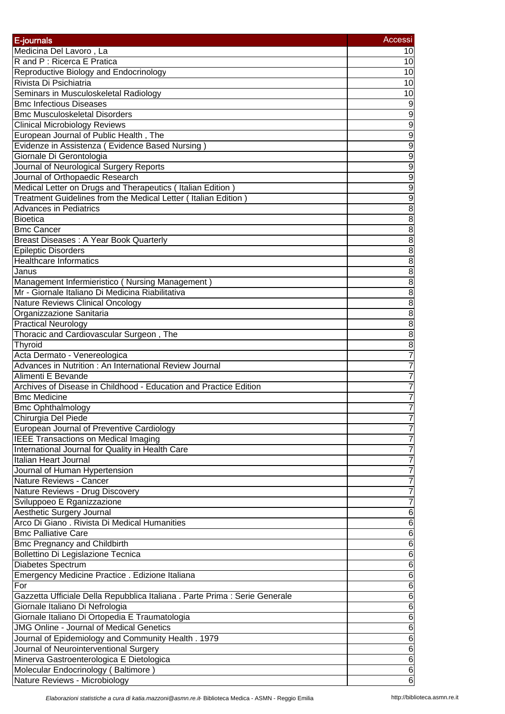|                                                                            | Accessi         |
|----------------------------------------------------------------------------|-----------------|
| E-journals                                                                 |                 |
| Medicina Del Lavoro, La                                                    | 10              |
| R and P : Ricerca E Pratica                                                | 10              |
| Reproductive Biology and Endocrinology                                     | 10              |
| Rivista Di Psichiatria                                                     | 10              |
| Seminars in Musculoskeletal Radiology                                      | 10              |
| <b>Bmc Infectious Diseases</b>                                             | $\overline{9}$  |
| <b>Bmc Musculoskeletal Disorders</b>                                       | $\overline{9}$  |
| <b>Clinical Microbiology Reviews</b>                                       | $\overline{9}$  |
| European Journal of Public Health, The                                     | $\overline{9}$  |
| Evidenze in Assistenza (Evidence Based Nursing)                            | $\overline{9}$  |
| Giornale Di Gerontologia                                                   | $\overline{9}$  |
| Journal of Neurological Surgery Reports                                    | $\overline{9}$  |
| Journal of Orthopaedic Research                                            | $\overline{9}$  |
| Medical Letter on Drugs and Therapeutics (Italian Edition)                 | $\overline{9}$  |
| Treatment Guidelines from the Medical Letter (Italian Edition)             | 9               |
| <b>Advances in Pediatrics</b>                                              | $\overline{8}$  |
| Bioetica                                                                   | $rac{8}{8}$     |
| <b>Bmc Cancer</b>                                                          |                 |
| Breast Diseases: A Year Book Quarterly                                     | $\overline{8}$  |
| <b>Epileptic Disorders</b>                                                 | $\overline{8}$  |
| <b>Healthcare Informatics</b>                                              | $\overline{8}$  |
| Janus                                                                      | $\overline{8}$  |
| Management Infermieristico (Nursing Management)                            | $\overline{8}$  |
| Mr - Giornale Italiano Di Medicina Riabilitativa                           | $\overline{8}$  |
| Nature Reviews Clinical Oncology                                           | $\overline{8}$  |
| Organizzazione Sanitaria                                                   | $\overline{8}$  |
| <b>Practical Neurology</b>                                                 | $\overline{8}$  |
| Thoracic and Cardiovascular Surgeon, The                                   | $\overline{8}$  |
| Thyroid                                                                    | $\overline{8}$  |
| Acta Dermato - Venereologica                                               | $\overline{7}$  |
| Advances in Nutrition : An International Review Journal                    | $\overline{7}$  |
| Alimenti E Bevande                                                         | $\overline{7}$  |
| Archives of Disease in Childhood - Education and Practice Edition          | $\overline{7}$  |
| <b>Bmc Medicine</b>                                                        | $\overline{7}$  |
| <b>Bmc Ophthalmology</b>                                                   | $\overline{7}$  |
| Chirurgia Del Piede                                                        | $\overline{7}$  |
| European Journal of Preventive Cardiology                                  | $\overline{7}$  |
| <b>IEEE Transactions on Medical Imaging</b>                                | $\overline{7}$  |
| International Journal for Quality in Health Care                           | $\overline{7}$  |
| Italian Heart Journal                                                      | $\overline{7}$  |
| Journal of Human Hypertension                                              | $\overline{7}$  |
| Nature Reviews - Cancer                                                    | $\overline{7}$  |
| Nature Reviews - Drug Discovery                                            | $\overline{7}$  |
| Sviluppoeo E Rganizzazione                                                 | $\overline{7}$  |
| Aesthetic Surgery Journal                                                  | $6\phantom{1}6$ |
| Arco Di Giano . Rivista Di Medical Humanities                              | 6               |
| <b>Bmc Palliative Care</b>                                                 | $6\phantom{1}6$ |
| <b>Bmc Pregnancy and Childbirth</b>                                        | $6\phantom{1}6$ |
| Bollettino Di Legislazione Tecnica                                         | $\overline{6}$  |
| Diabetes Spectrum                                                          | $6\phantom{1}6$ |
| Emergency Medicine Practice . Edizione Italiana                            | $\overline{6}$  |
| For                                                                        | $\overline{6}$  |
|                                                                            |                 |
| Gazzetta Ufficiale Della Repubblica Italiana. Parte Prima : Serie Generale | $\overline{6}$  |
| Giornale Italiano Di Nefrologia                                            | $6\phantom{1}6$ |
| Giornale Italiano Di Ortopedia E Traumatologia                             | $6\phantom{1}6$ |
| <b>JMG Online - Journal of Medical Genetics</b>                            | 6               |
| Journal of Epidemiology and Community Health. 1979                         | $6\phantom{1}6$ |
| Journal of Neurointerventional Surgery                                     | 6               |
| Minerva Gastroenterologica E Dietologica                                   | 6               |
| Molecular Endocrinology (Baltimore)                                        | 6               |
| Nature Reviews - Microbiology                                              | $6\phantom{1}6$ |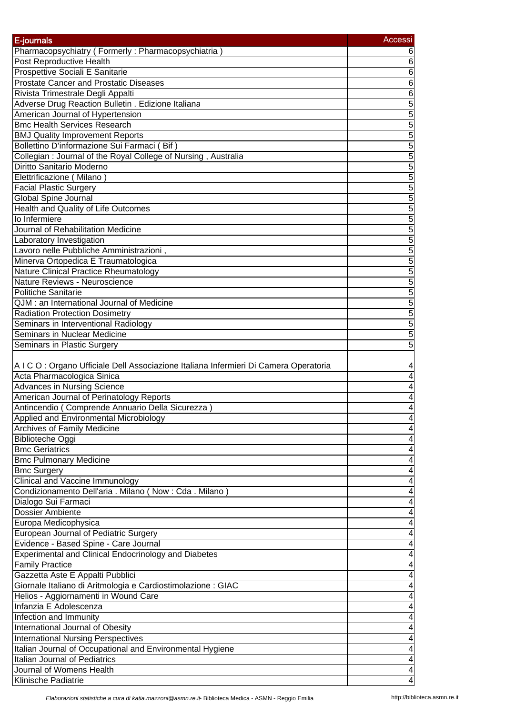| E-journals                                                                                   | Accessi             |
|----------------------------------------------------------------------------------------------|---------------------|
| Pharmacopsychiatry (Formerly: Pharmacopsychiatria)                                           | 6                   |
| Post Reproductive Health                                                                     | $6\phantom{1}6$     |
| Prospettive Sociali E Sanitarie                                                              | $\overline{6}$      |
| <b>Prostate Cancer and Prostatic Diseases</b>                                                | $\overline{6}$      |
| Rivista Trimestrale Degli Appalti                                                            | $\overline{6}$      |
| Adverse Drug Reaction Bulletin . Edizione Italiana                                           |                     |
| American Journal of Hypertension                                                             |                     |
| <b>Bmc Health Services Research</b>                                                          | $\frac{5}{5}$       |
| <b>BMJ Quality Improvement Reports</b>                                                       | $\overline{5}$      |
| Bollettino D'informazione Sui Farmaci (Bif)                                                  | 5                   |
| Collegian: Journal of the Royal College of Nursing, Australia                                | 5                   |
| Diritto Sanitario Moderno                                                                    | $\overline{5}$      |
| Elettrificazione (Milano)                                                                    | $\overline{5}$      |
| <b>Facial Plastic Surgery</b>                                                                | $\overline{5}$      |
| Global Spine Journal                                                                         | 5                   |
| <b>Health and Quality of Life Outcomes</b>                                                   | 5                   |
| lo Infermiere                                                                                | $\overline{5}$      |
| Journal of Rehabilitation Medicine                                                           | 5                   |
| Laboratory Investigation                                                                     | $\overline{5}$      |
| Lavoro nelle Pubbliche Amministrazioni,                                                      |                     |
| Minerva Ortopedica E Traumatologica                                                          | $\frac{5}{5}$       |
| <b>Nature Clinical Practice Rheumatology</b>                                                 |                     |
| Nature Reviews - Neuroscience                                                                | $\frac{5}{5}$       |
| <b>Politiche Sanitarie</b>                                                                   |                     |
| QJM : an International Journal of Medicine                                                   |                     |
|                                                                                              | 5                   |
| <b>Radiation Protection Dosimetry</b>                                                        | 5                   |
| Seminars in Interventional Radiology<br>Seminars in Nuclear Medicine                         | 5                   |
|                                                                                              | $\overline{5}$      |
| <b>Seminars in Plastic Surgery</b>                                                           | $\overline{5}$      |
|                                                                                              |                     |
| A I C O : Organo Ufficiale Dell Associazione Italiana Infermieri Di Camera Operatoria        | 4                   |
| Acta Pharmacologica Sinica<br><b>Advances in Nursing Science</b>                             | 4                   |
|                                                                                              | 4                   |
| American Journal of Perinatology Reports<br>Antincendio (Comprende Annuario Della Sicurezza) | 4<br>$\overline{4}$ |
|                                                                                              |                     |
| Applied and Environmental Microbiology                                                       | 4                   |
| <b>Archives of Family Medicine</b><br><b>Biblioteche Oggi</b>                                | 4<br>$\overline{4}$ |
| <b>Bmc Geriatrics</b>                                                                        | $\overline{4}$      |
| <b>Bmc Pulmonary Medicine</b>                                                                |                     |
|                                                                                              | 4                   |
| <b>Bmc Surgery</b>                                                                           | 4                   |
| Clinical and Vaccine Immunology                                                              | 4                   |
| Condizionamento Dell'aria . Milano (Now: Cda. Milano)                                        | 4                   |
| Dialogo Sui Farmaci                                                                          | 4                   |
| Dossier Ambiente                                                                             | 4                   |
| Europa Medicophysica                                                                         | 4                   |
| European Journal of Pediatric Surgery                                                        | 4                   |
| Evidence - Based Spine - Care Journal                                                        | 4                   |
| Experimental and Clinical Endocrinology and Diabetes                                         | 4                   |
| <b>Family Practice</b>                                                                       | 4                   |
| Gazzetta Aste E Appalti Pubblici                                                             | 4                   |
| Giornale Italiano di Aritmologia e Cardiostimolazione : GIAC                                 | 4                   |
| Helios - Aggiornamenti in Wound Care                                                         | 4                   |
| Infanzia E Adolescenza                                                                       | $\overline{4}$      |
| Infection and Immunity                                                                       | $\overline{4}$      |
| International Journal of Obesity                                                             | 4                   |
| <b>International Nursing Perspectives</b>                                                    | 4                   |
| Italian Journal of Occupational and Environmental Hygiene                                    | 4                   |
| Italian Journal of Pediatrics                                                                | 4                   |
| Journal of Womens Health                                                                     | 4                   |
| Klinische Padiatrie                                                                          | 4                   |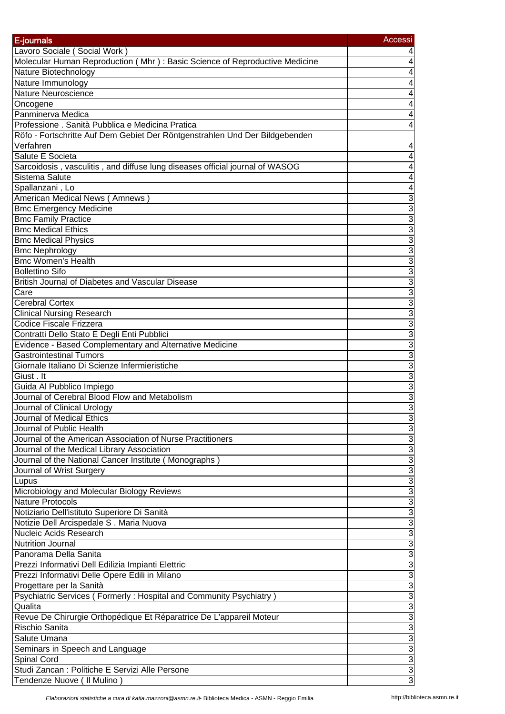| E-journals                                                                   | Accessi                     |
|------------------------------------------------------------------------------|-----------------------------|
|                                                                              |                             |
| Lavoro Sociale (Social Work)                                                 |                             |
| Molecular Human Reproduction (Mhr): Basic Science of Reproductive Medicine   | 4<br>4                      |
| Nature Biotechnology<br>Nature Immunology                                    |                             |
| <b>Nature Neuroscience</b>                                                   | 4                           |
| Oncogene                                                                     |                             |
| Panminerva Medica                                                            |                             |
| Professione . Sanità Pubblica e Medicina Pratica                             |                             |
| Röfo - Fortschritte Auf Dem Gebiet Der Röntgenstrahlen Und Der Bildgebenden  |                             |
| Verfahren                                                                    | 4                           |
| Salute E Societa                                                             | 4                           |
| Sarcoidosis, vasculitis, and diffuse lung diseases official journal of WASOG | 4                           |
| Sistema Salute                                                               | 4                           |
| Spallanzani, Lo                                                              | 4                           |
| American Medical News (Amnews)                                               | 3                           |
| <b>Bmc Emergency Medicine</b>                                                | $\overline{3}$              |
| <b>Bmc Family Practice</b>                                                   | 3                           |
| <b>Bmc Medical Ethics</b>                                                    | $\overline{3}$              |
| <b>Bmc Medical Physics</b>                                                   | $\overline{3}$              |
| <b>Bmc Nephrology</b>                                                        | $\overline{3}$              |
| <b>Bmc Women's Health</b>                                                    | $\overline{3}$              |
| <b>Bollettino Sifo</b>                                                       | $\overline{3}$              |
| British Journal of Diabetes and Vascular Disease                             | $\overline{3}$              |
| Care                                                                         | $\overline{3}$              |
| Cerebral Cortex                                                              | $\overline{3}$              |
| <b>Clinical Nursing Research</b>                                             | $\overline{3}$              |
| Codice Fiscale Frizzera                                                      | $\overline{3}$              |
| Contratti Dello Stato E Degli Enti Pubblici                                  | $\overline{3}$              |
| Evidence - Based Complementary and Alternative Medicine                      | $\overline{3}$              |
| <b>Gastrointestinal Tumors</b>                                               | $\overline{3}$              |
| Giornale Italiano Di Scienze Infermieristiche                                | 3                           |
| Giust . It                                                                   | 3                           |
| Guida Al Pubblico Impiego                                                    | 3                           |
| Journal of Cerebral Blood Flow and Metabolism                                | 3                           |
| Journal of Clinical Urology                                                  | 3                           |
| Journal of Medical Ethics                                                    | $\overline{3}$              |
| Journal of Public Health                                                     |                             |
| Journal of the American Association of Nurse Practitioners                   |                             |
| Journal of the Medical Library Association                                   |                             |
| Journal of the National Cancer Institute (Monographs)                        | $\frac{3}{3}$ $\frac{3}{3}$ |
| Journal of Wrist Surgery                                                     |                             |
| Lupus                                                                        | $\overline{3}$              |
| Microbiology and Molecular Biology Reviews                                   | $\overline{3}$              |
| <b>Nature Protocols</b>                                                      | $\overline{3}$              |
| Notiziario Dell'istituto Superiore Di Sanità                                 | $\overline{3}$              |
| Notizie Dell Arcispedale S . Maria Nuova                                     | $\overline{3}$              |
| Nucleic Acids Research                                                       | $\overline{3}$              |
| <b>Nutrition Journal</b>                                                     | $\overline{3}$              |
| Panorama Della Sanita                                                        | $\overline{3}$              |
| Prezzi Informativi Dell Edilizia Impianti Elettrici                          | $\overline{3}$              |
| Prezzi Informativi Delle Opere Edili in Milano                               | $\overline{3}$              |
| Progettare per la Sanità                                                     | $\overline{3}$              |
| Psychiatric Services (Formerly: Hospital and Community Psychiatry)           |                             |
| Qualita                                                                      | $\frac{3}{3}$               |
| Revue De Chirurgie Orthopédique Et Réparatrice De L'appareil Moteur          | $\overline{3}$              |
| Rischio Sanita                                                               | $\overline{3}$              |
| Salute Umana                                                                 |                             |
| Seminars in Speech and Language                                              |                             |
| Spinal Cord                                                                  | $\frac{3}{3}$               |
| Studi Zancan : Politiche E Servizi Alle Persone                              | $\overline{3}$              |
| Tendenze Nuove ( Il Mulino )                                                 | 3                           |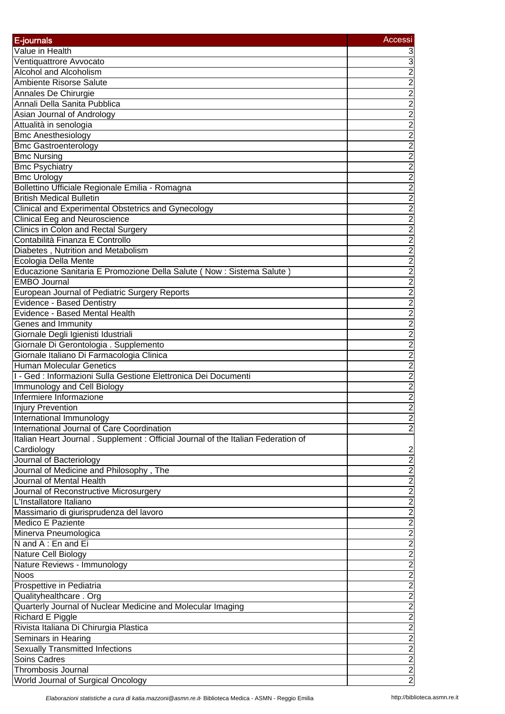| E-journals                                                                         | Accessi               |
|------------------------------------------------------------------------------------|-----------------------|
| Value in Health                                                                    | 3                     |
| Ventiquattrore Avvocato                                                            | $\mathfrak{S}$        |
| Alcohol and Alcoholism                                                             |                       |
|                                                                                    |                       |
| Ambiente Risorse Salute                                                            |                       |
| Annales De Chirurgie<br>Annali Della Sanita Pubblica                               | <u>טןטןטןטןטןטן</u>   |
|                                                                                    |                       |
| Asian Journal of Andrology<br>Attualità in senologia                               |                       |
|                                                                                    |                       |
| <b>Bmc Anesthesiology</b>                                                          |                       |
| <b>Bmc Gastroenterology</b>                                                        | $\frac{2}{2}$         |
| <b>Bmc Nursing</b>                                                                 |                       |
| <b>Bmc Psychiatry</b>                                                              | $\overline{2}$        |
| <b>Bmc Urology</b>                                                                 | $\overline{2}$        |
| Bollettino Ufficiale Regionale Emilia - Romagna                                    | $\frac{2}{2}$         |
| <b>British Medical Bulletin</b>                                                    |                       |
| Clinical and Experimental Obstetrics and Gynecology                                | $\overline{c}$        |
| <b>Clinical Eeg and Neuroscience</b>                                               |                       |
| Clinics in Colon and Rectal Surgery                                                |                       |
| Contabilità Finanza E Controllo                                                    |                       |
| Diabetes, Nutrition and Metabolism                                                 |                       |
| Ecologia Della Mente                                                               |                       |
| Educazione Sanitaria E Promozione Della Salute (Now : Sistema Salute)              |                       |
| <b>EMBO Journal</b>                                                                |                       |
| European Journal of Pediatric Surgery Reports                                      | מ מ מ מ מ מ מ מ מ מ מ |
| <b>Evidence - Based Dentistry</b>                                                  |                       |
| Evidence - Based Mental Health                                                     |                       |
| Genes and Immunity                                                                 |                       |
| Giornale Degli Igienisti Idustriali                                                | $\overline{2}$        |
| Giornale Di Gerontologia . Supplemento                                             | $\overline{2}$        |
| Giornale Italiano Di Farmacologia Clinica                                          | $\overline{2}$        |
| <b>Human Molecular Genetics</b>                                                    | $\overline{c}$        |
| I - Ged : Informazioni Sulla Gestione Elettronica Dei Documenti                    | $\overline{2}$        |
| Immunology and Cell Biology                                                        | $\frac{2}{2}$         |
| Infermiere Informazione                                                            |                       |
| Injury Prevention                                                                  |                       |
| International Immunology                                                           | $\overline{2}$        |
| International Journal of Care Coordination                                         | $\overline{c}$        |
| Italian Heart Journal . Supplement : Official Journal of the Italian Federation of |                       |
| Cardiology                                                                         | $\overline{2}$        |
| Journal of Bacteriology                                                            | $\overline{2}$        |
| Journal of Medicine and Philosophy, The                                            |                       |
| Journal of Mental Health                                                           | $\frac{2}{2}$         |
| Journal of Reconstructive Microsurgery                                             |                       |
| L'Installatore Italiano                                                            | $\frac{2}{2}$         |
| Massimario di giurisprudenza del lavoro                                            | $\overline{2}$        |
| <b>Medico E Paziente</b>                                                           | $\overline{c}$        |
| Minerva Pneumologica                                                               | $\overline{2}$        |
| N and A: En and Ei                                                                 | $\overline{2}$        |
| Nature Cell Biology                                                                | $\overline{2}$        |
| Nature Reviews - Immunology                                                        |                       |
| <b>Noos</b>                                                                        |                       |
| Prospettive in Pediatria                                                           |                       |
| Qualityhealthcare . Org                                                            | ט ט ט ט ט ט           |
| Quarterly Journal of Nuclear Medicine and Molecular Imaging                        |                       |
| Richard E Piggle                                                                   |                       |
| Rivista Italiana Di Chirurgia Plastica                                             |                       |
| Seminars in Hearing                                                                |                       |
| <b>Sexually Transmitted Infections</b>                                             | $\frac{2}{2}$         |
| <b>Soins Cadres</b>                                                                |                       |
| Thrombosis Journal                                                                 | $\overline{2}$        |
|                                                                                    |                       |
| World Journal of Surgical Oncology                                                 | $\overline{2}$        |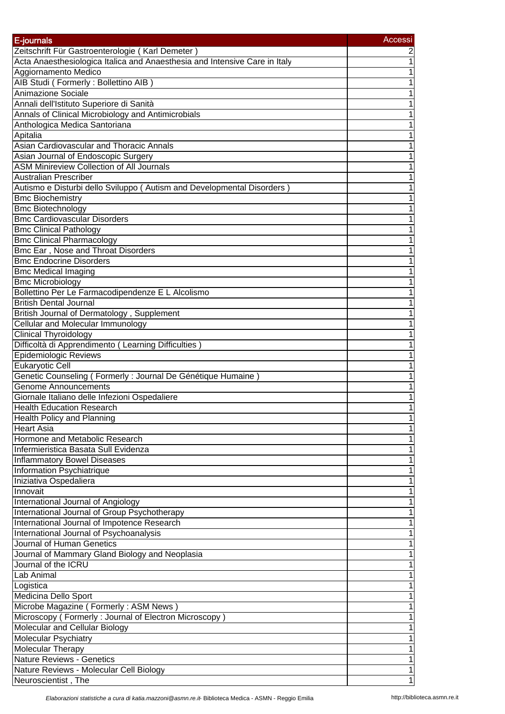| E-journals                                                                 | Accessi        |
|----------------------------------------------------------------------------|----------------|
| Zeitschrift Für Gastroenterologie (Karl Demeter)                           | $\overline{2}$ |
| Acta Anaesthesiologica Italica and Anaesthesia and Intensive Care in Italy | $\mathbf 1$    |
| Aggiornamento Medico                                                       | $\overline{1}$ |
| AIB Studi (Formerly: Bollettino AIB)                                       | $\mathbf 1$    |
| Animazione Sociale                                                         | $\overline{1}$ |
| Annali dell'Istituto Superiore di Sanità                                   | $\overline{1}$ |
| Annals of Clinical Microbiology and Antimicrobials                         | $\overline{1}$ |
| Anthologica Medica Santoriana                                              | $\overline{1}$ |
| Apitalia                                                                   | $\overline{1}$ |
| Asian Cardiovascular and Thoracic Annals                                   | $\overline{1}$ |
| Asian Journal of Endoscopic Surgery                                        | $\overline{1}$ |
| <b>ASM Minireview Collection of All Journals</b>                           | $\overline{1}$ |
| <b>Australian Prescriber</b>                                               | $\overline{1}$ |
| Autismo e Disturbi dello Sviluppo (Autism and Developmental Disorders)     | 1              |
| <b>Bmc Biochemistry</b>                                                    | $\overline{1}$ |
| <b>Bmc Biotechnology</b>                                                   | $\overline{1}$ |
| <b>Bmc Cardiovascular Disorders</b>                                        | $\mathbf 1$    |
| <b>Bmc Clinical Pathology</b>                                              | 1              |
| <b>Bmc Clinical Pharmacology</b>                                           | $\overline{1}$ |
| Bmc Ear, Nose and Throat Disorders                                         | $\overline{1}$ |
| <b>Bmc Endocrine Disorders</b>                                             | $\overline{1}$ |
| <b>Bmc Medical Imaging</b>                                                 | $\overline{1}$ |
| <b>Bmc Microbiology</b>                                                    | $\overline{1}$ |
| Bollettino Per Le Farmacodipendenze E L Alcolismo                          | $\overline{1}$ |
| <b>British Dental Journal</b>                                              | $\overline{1}$ |
| British Journal of Dermatology, Supplement                                 | 1              |
| Cellular and Molecular Immunology                                          | $\overline{1}$ |
| <b>Clinical Thyroidology</b>                                               | 1              |
| Difficoltà di Apprendimento (Learning Difficulties)                        | 1              |
| Epidemiologic Reviews                                                      | 1              |
| Eukaryotic Cell                                                            | 1              |
| Genetic Counseling (Formerly : Journal De Génétique Humaine)               | $\overline{1}$ |
| Genome Announcements                                                       | $\mathbf 1$    |
| Giornale Italiano delle Infezioni Ospedaliere                              | 1              |
| <b>Health Education Research</b>                                           | $\mathbf 1$    |
| <b>Health Policy and Planning</b>                                          | 1              |
| <b>Heart Asia</b>                                                          | $\mathbf 1$    |
| Hormone and Metabolic Research                                             | $\mathbf 1$    |
| Infermieristica Basata Sull Evidenza                                       | $\mathbf 1$    |
| <b>Inflammatory Bowel Diseases</b>                                         | 1              |
| Information Psychiatrique                                                  | $\mathbf 1$    |
| Iniziativa Ospedaliera                                                     | 1              |
| Innovait                                                                   | 1              |
| International Journal of Angiology                                         | $\mathbf 1$    |
| International Journal of Group Psychotherapy                               | 1              |
| International Journal of Impotence Research                                | 1              |
| International Journal of Psychoanalysis                                    | 1              |
| Journal of Human Genetics                                                  | 1              |
| Journal of Mammary Gland Biology and Neoplasia                             | 1              |
| Journal of the ICRU                                                        | 1              |
| Lab Animal                                                                 | 1              |
| Logistica                                                                  | 1              |
| Medicina Dello Sport                                                       | 1              |
| Microbe Magazine (Formerly: ASM News)                                      | $\mathbf 1$    |
| Microscopy (Formerly: Journal of Electron Microscopy)                      | 1              |
| Molecular and Cellular Biology                                             | $\overline{1}$ |
| <b>Molecular Psychiatry</b>                                                | $\overline{1}$ |
| Molecular Therapy                                                          | 1              |
| <b>Nature Reviews - Genetics</b>                                           | 1              |
| Nature Reviews - Molecular Cell Biology                                    | 1              |
| Neuroscientist, The                                                        | $\overline{1}$ |